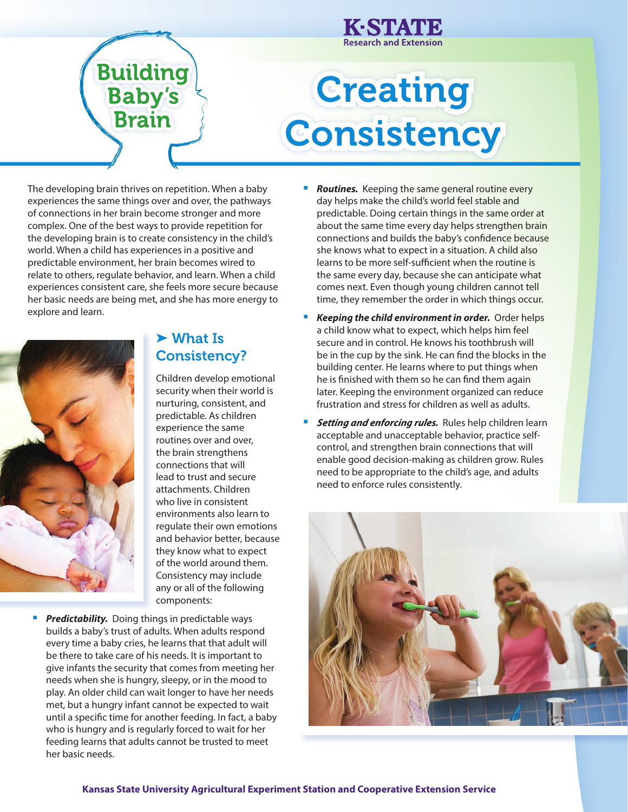

# **Creating Consistency**

The developing brain thrives on repetition. When a baby experiences the same things over and over, the pathways of connections in her brain become stronger and more complex. One of the best ways to provide repetition for the developing brain is to create consistency in the child's world. When a child has experiences in a positive and predictable environment, her brain becomes wired to relate to others, regulate behavior, and learn. When a child experiences consistent care, she feels more secure because her basic needs are being met, and she has more energy to explore and learn.



## ➤ What Is Consistency?

Children develop emotional security when their world is nurturing, consistent, and predictable. As children experience the same routines over and over, the brain strengthens connections that will lead to trust and secure attachments. Children who live in consistent environments also learn to regulate their own emotions and behavior better, because they know what to expect of the world around them. Consistency may include any or all of the following components:

**Predictability.** Doing things in predictable ways builds a baby's trust of adults. When adults respond every time a baby cries, he learns that that adult will be there to take care of his needs. It is important to give infants the security that comes from meeting her needs when she is hungry, sleepy, or in the mood to play. An older child can wait longer to have her needs met, but a hungry infant cannot be expected to wait until a specific time for another feeding. In fact, a baby who is hungry and is regularly forced to wait for her feeding learns that adults cannot be trusted to meet her basic needs.

- **Routines.** Keeping the same general routine every day helps make the child's world feel stable and predictable. Doing certain things in the same order at about the same time every day helps strengthen brain connections and builds the baby's confidence because she knows what to expect in a situation. A child also learns to be more self-sufficient when the routine is the same every day, because she can anticipate what comes next. Even though young children cannot tell time, they remember the order in which things occur.
- *Keeping the child environment in order.* Order helps a child know what to expect, which helps him feel secure and in control. He knows his toothbrush will be in the cup by the sink. He can find the blocks in the building center. He learns where to put things when he is finished with them so he can find them again later. Keeping the environment organized can reduce frustration and stress for children as well as adults.
- **F** Setting and enforcing rules. Rules help children learn acceptable and unacceptable behavior, practice selfcontrol, and strengthen brain connections that will enable good decision-making as children grow. Rules need to be appropriate to the child's age, and adults need to enforce rules consistently.